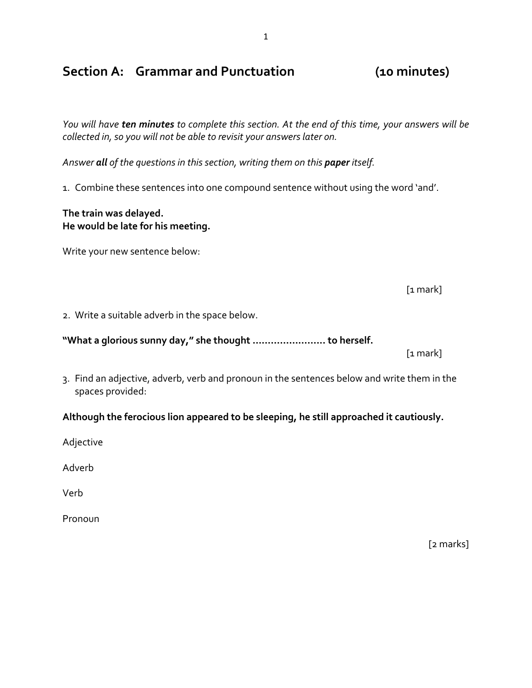## **Section A:** Grammar and Punctuation (10 minutes)

*You* will have **ten minutes** to complete this section. At the end of this time, your answers will be *collected in, so you will not be able to revisit your answers later on.* 

Answer all of the questions in this section, writing them on this paper itself.

1. Combine these sentences into one compound sentence without using the word 'and'.

## The train was delayed. He would be late for his meeting.

Write your new sentence below:

[1 mark]

2. Write a suitable adverb in the space below.

## "What a glorious sunny day," she thought .......................... to herself.

[1 mark]

3. Find an adjective, adverb, verb and pronoun in the sentences below and write them in the spaces provided:

## Although the ferocious lion appeared to be sleeping, he still approached it cautiously.

Adjective

Adverb

Verb

Pronoun

[2 marks]